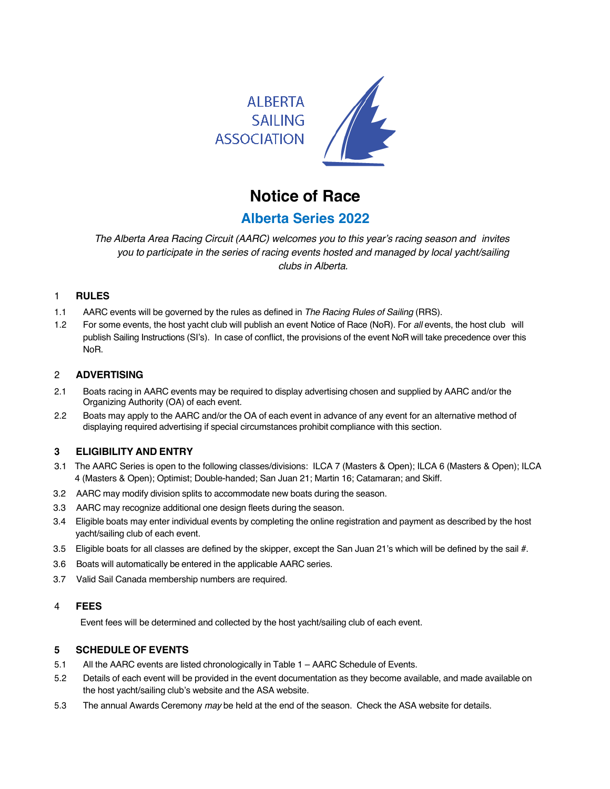

# **Notice of Race**

# **Alberta Series 2022**

*The Alberta Area Racing Circuit (AARC) welcomes you to this year's racing season and invites you to participate in the series of racing events hosted and managed by local yacht/sailing clubs in Alberta.*

### 1 **RULES**

- 1.1 AARC events will be governed by the rules as defined in *The Racing Rules of Sailing* (RRS).
- 1.2 For some events, the host yacht club will publish an event Notice of Race (NoR). For *all* events, the host club will publish Sailing Instructions (SI's). In case of conflict, the provisions of the event NoR will take precedence over this NoR.

#### 2 **ADVERTISING**

- 2.1 Boats racing in AARC events may be required to display advertising chosen and supplied by AARC and/or the Organizing Authority (OA) of each event.
- 2.2 Boats may apply to the AARC and/or the OA of each event in advance of any event for an alternative method of displaying required advertising if special circumstances prohibit compliance with this section.

#### **3 ELIGIBILITY AND ENTRY**

- 3.1 The AARC Series is open to the following classes/divisions: ILCA 7 (Masters & Open); ILCA 6 (Masters & Open); ILCA 4 (Masters & Open); Optimist; Double-handed; San Juan 21; Martin 16; Catamaran; and Skiff.
- 3.2 AARC may modify division splits to accommodate new boats during the season.
- 3.3 AARC may recognize additional one design fleets during the season.
- 3.4 Eligible boats may enter individual events by completing the online registration and payment as described by the host yacht/sailing club of each event.
- 3.5 Eligible boats for all classes are defined by the skipper, except the San Juan 21's which will be defined by the sail #.
- 3.6 Boats will automatically be entered in the applicable AARC series.
- 3.7 Valid Sail Canada membership numbers are required.

#### 4 **FEES**

Event fees will be determined and collected by the host yacht/sailing club of each event.

#### **5 SCHEDULE OF EVENTS**

- 5.1 All the AARC events are listed chronologically in Table 1 AARC Schedule of Events.
- 5.2 Details of each event will be provided in the event documentation as they become available, and made available on the host yacht/sailing club's website and the ASA website.
- 5.3 The annual Awards Ceremony *may* be held at the end of the season. Check the ASA website for details.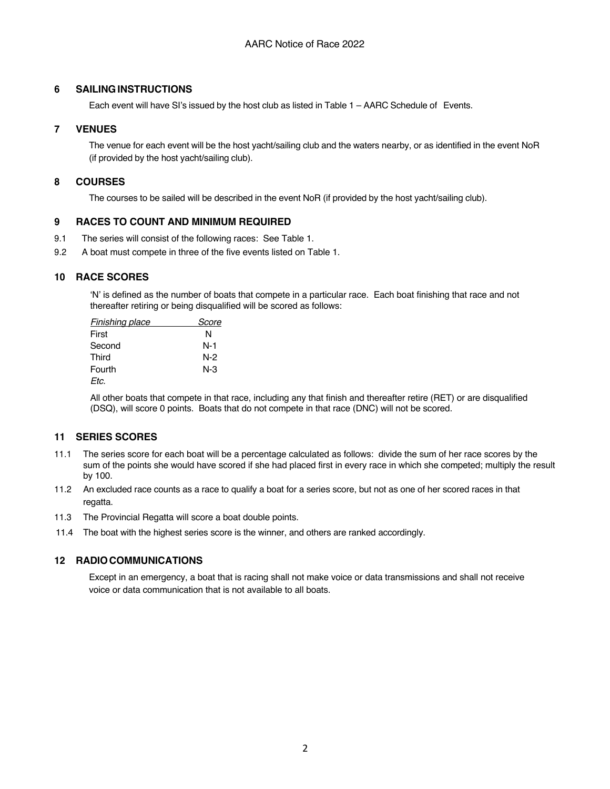#### **6 SAILINGINSTRUCTIONS**

Each event will have SI's issued by the host club as listed in Table 1 – AARC Schedule of Events.

#### **7 VENUES**

The venue for each event will be the host yacht/sailing club and the waters nearby, or as identified in the event NoR (if provided by the host yacht/sailing club).

#### **8 COURSES**

The courses to be sailed will be described in the event NoR (if provided by the host yacht/sailing club).

#### **9 RACES TO COUNT AND MINIMUM REQUIRED**

- 9.1 The series will consist of the following races: See Table 1.
- 9.2 A boat must compete in three of the five events listed on Table 1.

#### **10 RACE SCORES**

'N' is defined as the number of boats that compete in a particular race. Each boat finishing that race and not thereafter retiring or being disqualified will be scored as follows:

| <b>Finishing place</b> | Score |
|------------------------|-------|
| First                  | N     |
| Second                 | N-1   |
| Third                  | N-2   |
| Fourth                 | N-3   |
| Etc.                   |       |

All other boats that compete in that race, including any that finish and thereafter retire (RET) or are disqualified (DSQ), will score 0 points. Boats that do not compete in that race (DNC) will not be scored.

#### **11 SERIES SCORES**

- 11.1 The series score for each boat will be a percentage calculated as follows: divide the sum of her race scores by the sum of the points she would have scored if she had placed first in every race in which she competed; multiply the result by 100.
- 11.2 An excluded race counts as a race to qualify a boat for a series score, but not as one of her scored races in that regatta.
- 11.3 The Provincial Regatta will score a boat double points.
- 11.4 The boat with the highest series score is the winner, and others are ranked accordingly.

#### **12 RADIOCOMMUNICATIONS**

Except in an emergency, a boat that is racing shall not make voice or data transmissions and shall not receive voice or data communication that is not available to all boats.